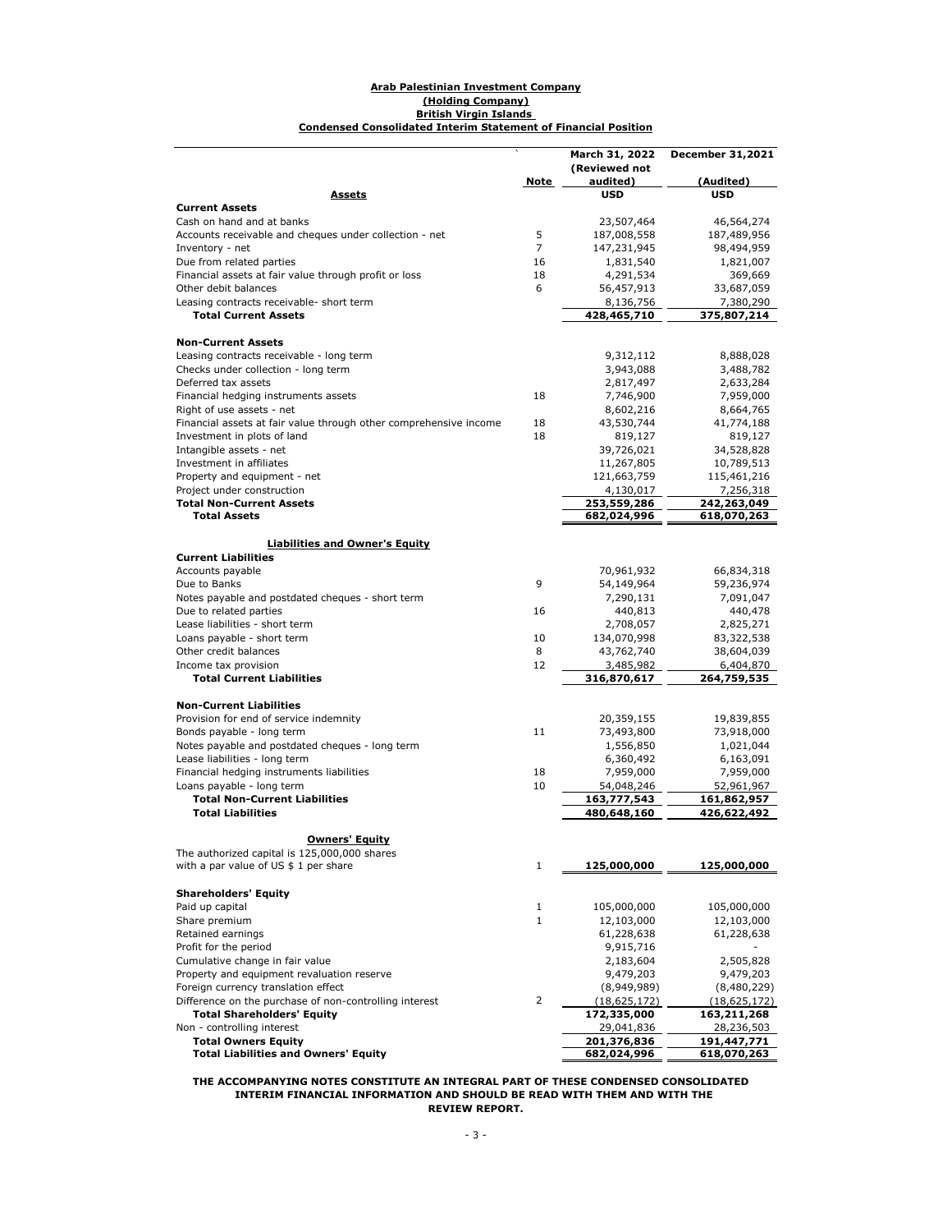#### **Condensed Consolidated Interim Statement of Financial Position Arab Palestinian Investment Company (Holding Company) British Virgin Islands**

|                                                                     |                | March 31, 2022                | <b>December 31,2021</b>       |
|---------------------------------------------------------------------|----------------|-------------------------------|-------------------------------|
|                                                                     |                | (Reviewed not                 |                               |
|                                                                     | Note           | audited)                      | (Audited)                     |
| <u>Assets</u>                                                       |                | <b>USD</b>                    | <b>USD</b>                    |
| <b>Current Assets</b><br>Cash on hand and at banks                  |                | 23,507,464                    | 46,564,274                    |
| Accounts receivable and cheques under collection - net              | 5              | 187,008,558                   | 187,489,956                   |
| Inventory - net                                                     | $\overline{7}$ | 147,231,945                   | 98,494,959                    |
| Due from related parties                                            | 16             | 1,831,540                     | 1,821,007                     |
| Financial assets at fair value through profit or loss               | 18             | 4,291,534                     | 369,669                       |
| Other debit balances                                                | 6              | 56,457,913                    | 33,687,059                    |
| Leasing contracts receivable- short term                            |                | 8,136,756                     | 7,380,290                     |
| <b>Total Current Assets</b>                                         |                | 428,465,710                   | 375,807,214                   |
|                                                                     |                |                               |                               |
| <b>Non-Current Assets</b>                                           |                |                               |                               |
| Leasing contracts receivable - long term                            |                | 9,312,112                     | 8,888,028                     |
| Checks under collection - long term                                 |                | 3,943,088                     | 3,488,782                     |
| Deferred tax assets                                                 |                | 2,817,497                     | 2,633,284                     |
| Financial hedging instruments assets                                | 18             | 7,746,900                     | 7,959,000                     |
| Right of use assets - net                                           |                | 8,602,216                     | 8,664,765                     |
| Financial assets at fair value through other comprehensive income   | 18             | 43,530,744                    | 41,774,188                    |
| Investment in plots of land                                         | 18             | 819,127                       | 819,127                       |
| Intangible assets - net                                             |                | 39,726,021                    | 34,528,828                    |
| Investment in affiliates                                            |                | 11,267,805                    | 10,789,513                    |
| Property and equipment - net                                        |                | 121,663,759                   | 115,461,216                   |
| Project under construction                                          |                | 4,130,017                     | 7,256,318                     |
| <b>Total Non-Current Assets</b>                                     |                | 253,559,286                   | 242,263,049                   |
| <b>Total Assets</b>                                                 |                | 682,024,996                   | 618,070,263                   |
|                                                                     |                |                               |                               |
| <b>Liabilities and Owner's Equity</b><br><b>Current Liabilities</b> |                |                               |                               |
| Accounts payable                                                    |                | 70,961,932                    | 66,834,318                    |
| Due to Banks                                                        | 9              | 54,149,964                    | 59,236,974                    |
| Notes payable and postdated cheques - short term                    |                | 7,290,131                     | 7,091,047                     |
| Due to related parties                                              | 16             | 440,813                       | 440,478                       |
| Lease liabilities - short term                                      |                | 2,708,057                     | 2,825,271                     |
| Loans payable - short term                                          | 10             | 134,070,998                   | 83,322,538                    |
| Other credit balances                                               | 8              | 43,762,740                    | 38,604,039                    |
| Income tax provision                                                | 12             | 3,485,982                     | 6,404,870                     |
| <b>Total Current Liabilities</b>                                    |                | 316,870,617                   | 264,759,535                   |
|                                                                     |                |                               |                               |
| <b>Non-Current Liabilities</b>                                      |                |                               |                               |
| Provision for end of service indemnity                              |                | 20,359,155                    | 19,839,855                    |
| Bonds payable - long term                                           | 11             | 73,493,800                    | 73,918,000                    |
| Notes payable and postdated cheques - long term                     |                | 1,556,850                     | 1,021,044                     |
| Lease liabilities - long term                                       |                | 6,360,492                     | 6,163,091                     |
| Financial hedging instruments liabilities                           | 18             | 7,959,000                     | 7,959,000                     |
| Loans payable - long term                                           | 10             | 54,048,246                    | 52,961,967                    |
| <b>Total Non-Current Liabilities</b>                                |                | 163,777,543                   | 161,862,957                   |
| <b>Total Liabilities</b>                                            |                | 480,648,160                   | 426,622,492                   |
|                                                                     |                |                               |                               |
| <b>Owners' Equity</b>                                               |                |                               |                               |
| The authorized capital is 125,000,000 shares                        |                |                               |                               |
| with a par value of US \$ 1 per share                               | 1              | 125,000,000                   | 125,000,000                   |
|                                                                     |                |                               |                               |
| <b>Shareholders' Equity</b>                                         |                |                               |                               |
| Paid up capital                                                     | 1              | 105,000,000                   | 105,000,000                   |
| Share premium<br>Retained earnings                                  | $\mathbf{1}$   | 12,103,000                    | 12,103,000                    |
|                                                                     |                | 61,228,638                    | 61,228,638                    |
| Profit for the period<br>Cumulative change in fair value            |                | 9,915,716                     |                               |
| Property and equipment revaluation reserve                          |                | 2,183,604<br>9,479,203        | 2,505,828                     |
| Foreign currency translation effect                                 |                |                               | 9,479,203                     |
| Difference on the purchase of non-controlling interest              | 2              | (8,949,989)<br>(18, 625, 172) | (8,480,229)<br>(18, 625, 172) |
| <b>Total Shareholders' Equity</b>                                   |                | 172,335,000                   | 163,211,268                   |
| Non - controlling interest                                          |                | 29,041,836                    | 28,236,503                    |
| <b>Total Owners Equity</b>                                          |                | 201,376,836                   | 191,447,771                   |
| <b>Total Liabilities and Owners' Equity</b>                         |                | 682,024,996                   | 618,070,263                   |

**THE ACCOMPANYING NOTES CONSTITUTE AN INTEGRAL PART OF THESE CONDENSED CONSOLIDATED INTERIM FINANCIAL INFORMATION AND SHOULD BE READ WITH THEM AND WITH THE REVIEW REPORT.**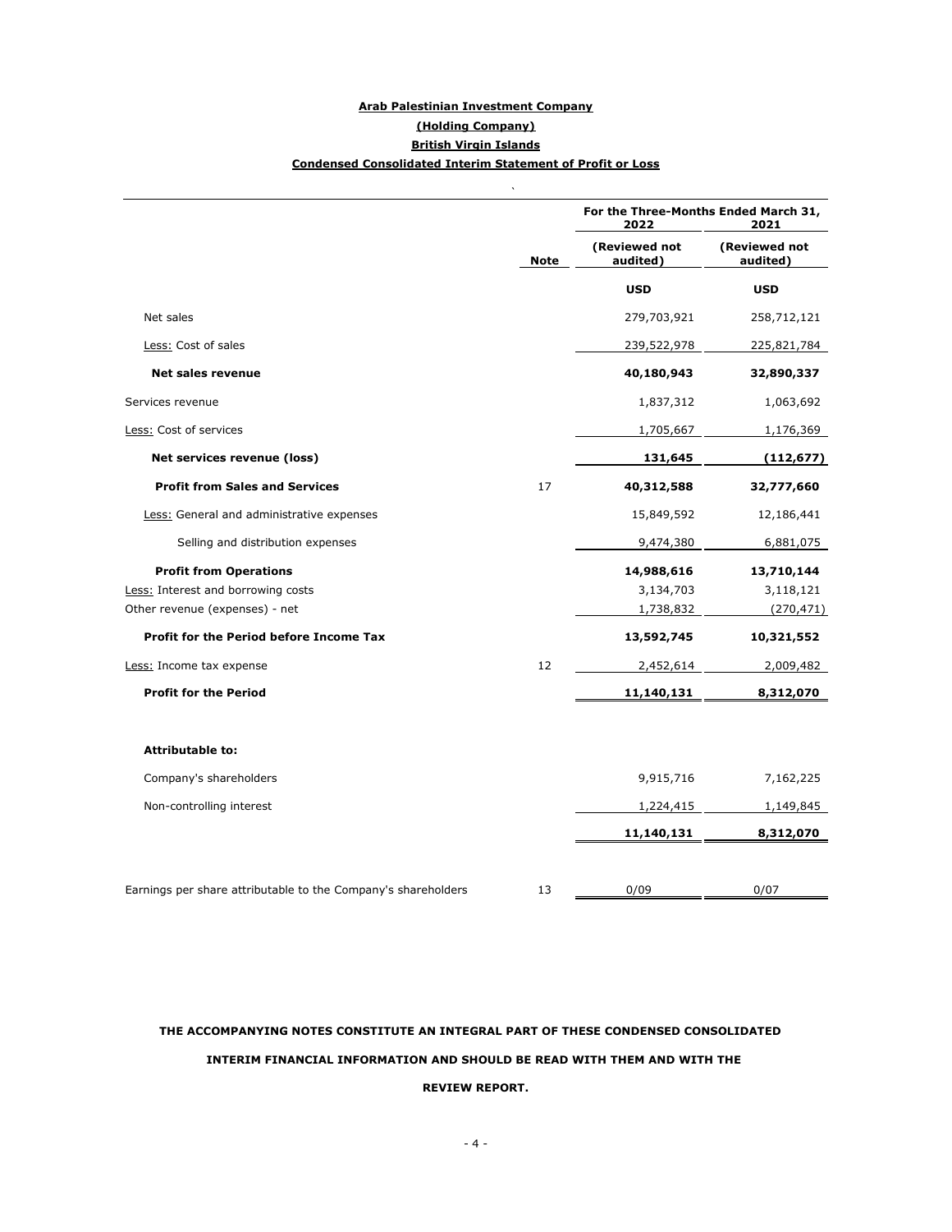# **Arab Palestinian Investment Company (Holding Company) British Virgin Islands Condensed Consolidated Interim Statement of Profit or Loss**

 $\mathbb{R}^2$ 

|                                                               |             | For the Three-Months Ended March 31,<br>2022<br>2021 |                           |  |  |
|---------------------------------------------------------------|-------------|------------------------------------------------------|---------------------------|--|--|
|                                                               | <b>Note</b> | (Reviewed not<br>audited)                            | (Reviewed not<br>audited) |  |  |
|                                                               |             | <b>USD</b>                                           | <b>USD</b>                |  |  |
| Net sales                                                     |             | 279,703,921                                          | 258,712,121               |  |  |
| Less: Cost of sales                                           |             | 239,522,978                                          | 225,821,784               |  |  |
| <b>Net sales revenue</b>                                      |             | 40,180,943                                           | 32,890,337                |  |  |
| Services revenue                                              |             | 1,837,312                                            | 1,063,692                 |  |  |
| Less: Cost of services                                        |             | 1,705,667                                            | 1,176,369                 |  |  |
| Net services revenue (loss)                                   |             | 131,645                                              | (112, 677)                |  |  |
| <b>Profit from Sales and Services</b>                         | 17          | 40,312,588                                           | 32,777,660                |  |  |
| Less: General and administrative expenses                     |             | 15,849,592                                           | 12,186,441                |  |  |
| Selling and distribution expenses                             |             | 9,474,380                                            | 6,881,075                 |  |  |
| <b>Profit from Operations</b>                                 |             | 14,988,616                                           | 13,710,144                |  |  |
| Less: Interest and borrowing costs                            |             | 3,134,703                                            | 3,118,121                 |  |  |
| Other revenue (expenses) - net                                |             | 1,738,832                                            | (270, 471)                |  |  |
| Profit for the Period before Income Tax                       |             | 13,592,745                                           | 10,321,552                |  |  |
| Less: Income tax expense                                      | 12          | 2,452,614                                            | 2,009,482                 |  |  |
| <b>Profit for the Period</b>                                  |             | 11,140,131                                           | 8,312,070                 |  |  |
| <b>Attributable to:</b>                                       |             |                                                      |                           |  |  |
| Company's shareholders                                        |             | 9,915,716                                            | 7,162,225                 |  |  |
| Non-controlling interest                                      |             | 1,224,415                                            | 1,149,845                 |  |  |
|                                                               |             | 11,140,131                                           | 8,312,070                 |  |  |
|                                                               |             |                                                      |                           |  |  |
| Earnings per share attributable to the Company's shareholders | 13          | 0/09                                                 | 0/07                      |  |  |

# **THE ACCOMPANYING NOTES CONSTITUTE AN INTEGRAL PART OF THESE CONDENSED CONSOLIDATED INTERIM FINANCIAL INFORMATION AND SHOULD BE READ WITH THEM AND WITH THE REVIEW REPORT.**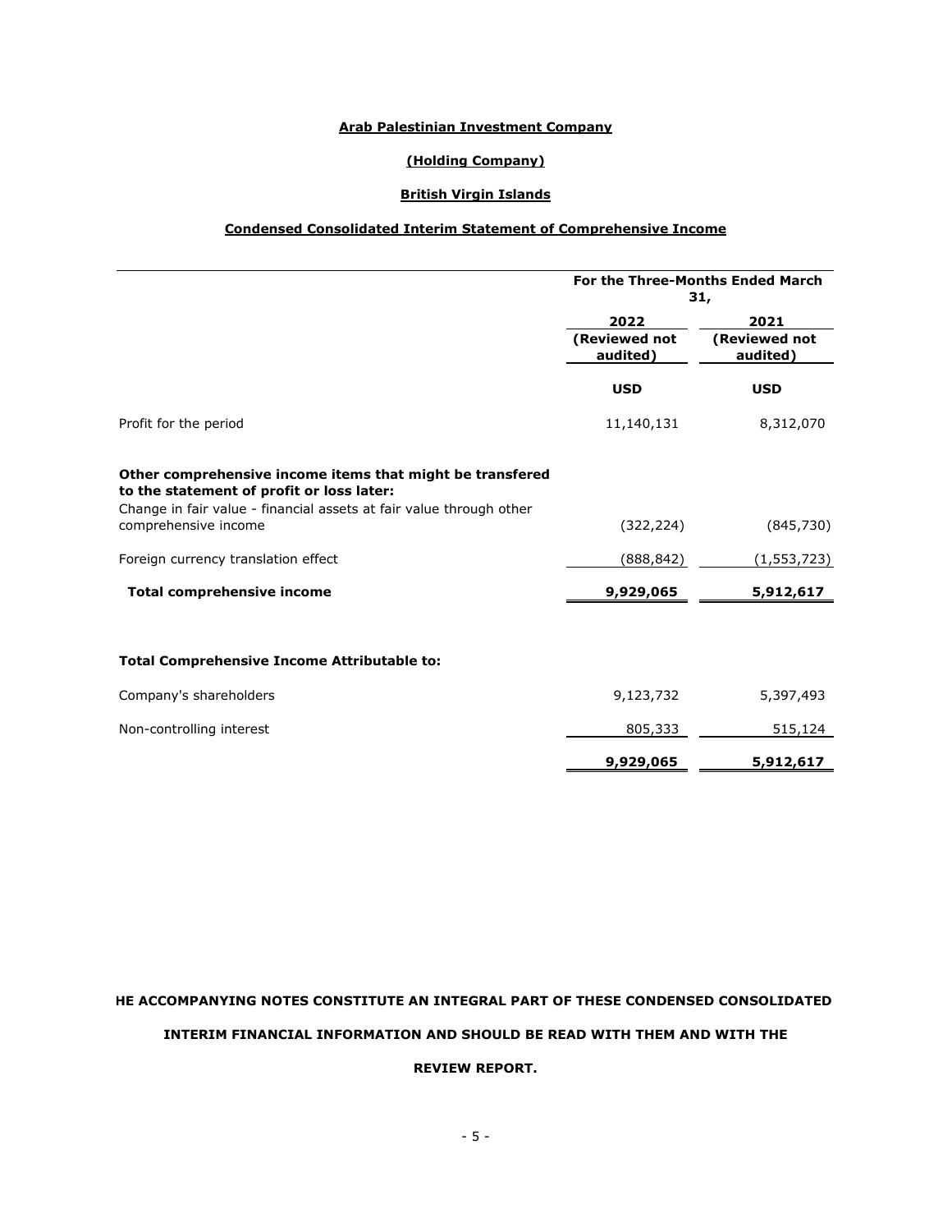### **Arab Palestinian Investment Company**

#### **(Holding Company)**

# **British Virgin Islands**

#### **Condensed Consolidated Interim Statement of Comprehensive Income**

|                                                                                                                                                                                                       | For the Three-Months Ended March<br>31, |                           |  |  |
|-------------------------------------------------------------------------------------------------------------------------------------------------------------------------------------------------------|-----------------------------------------|---------------------------|--|--|
|                                                                                                                                                                                                       | 2022                                    | 2021                      |  |  |
|                                                                                                                                                                                                       | (Reviewed not<br>audited)               | (Reviewed not<br>audited) |  |  |
|                                                                                                                                                                                                       | <b>USD</b>                              | <b>USD</b>                |  |  |
| Profit for the period                                                                                                                                                                                 | 11,140,131                              | 8,312,070                 |  |  |
| Other comprehensive income items that might be transfered<br>to the statement of profit or loss later:<br>Change in fair value - financial assets at fair value through other<br>comprehensive income | (322, 224)                              | (845,730)                 |  |  |
| Foreign currency translation effect                                                                                                                                                                   | (888,842)                               | (1, 553, 723)             |  |  |
| <b>Total comprehensive income</b>                                                                                                                                                                     | 9,929,065                               | 5,912,617                 |  |  |
| <b>Total Comprehensive Income Attributable to:</b>                                                                                                                                                    |                                         |                           |  |  |
| Company's shareholders                                                                                                                                                                                | 9,123,732                               | 5,397,493                 |  |  |
| Non-controlling interest                                                                                                                                                                              | 805,333                                 | 515,124                   |  |  |
|                                                                                                                                                                                                       | 9,929,065                               | 5,912,617                 |  |  |

# **HE ACCOMPANYING NOTES CONSTITUTE AN INTEGRAL PART OF THESE CONDENSED CONSOLIDATED**

#### **INTERIM FINANCIAL INFORMATION AND SHOULD BE READ WITH THEM AND WITH THE**

### **REVIEW REPORT.**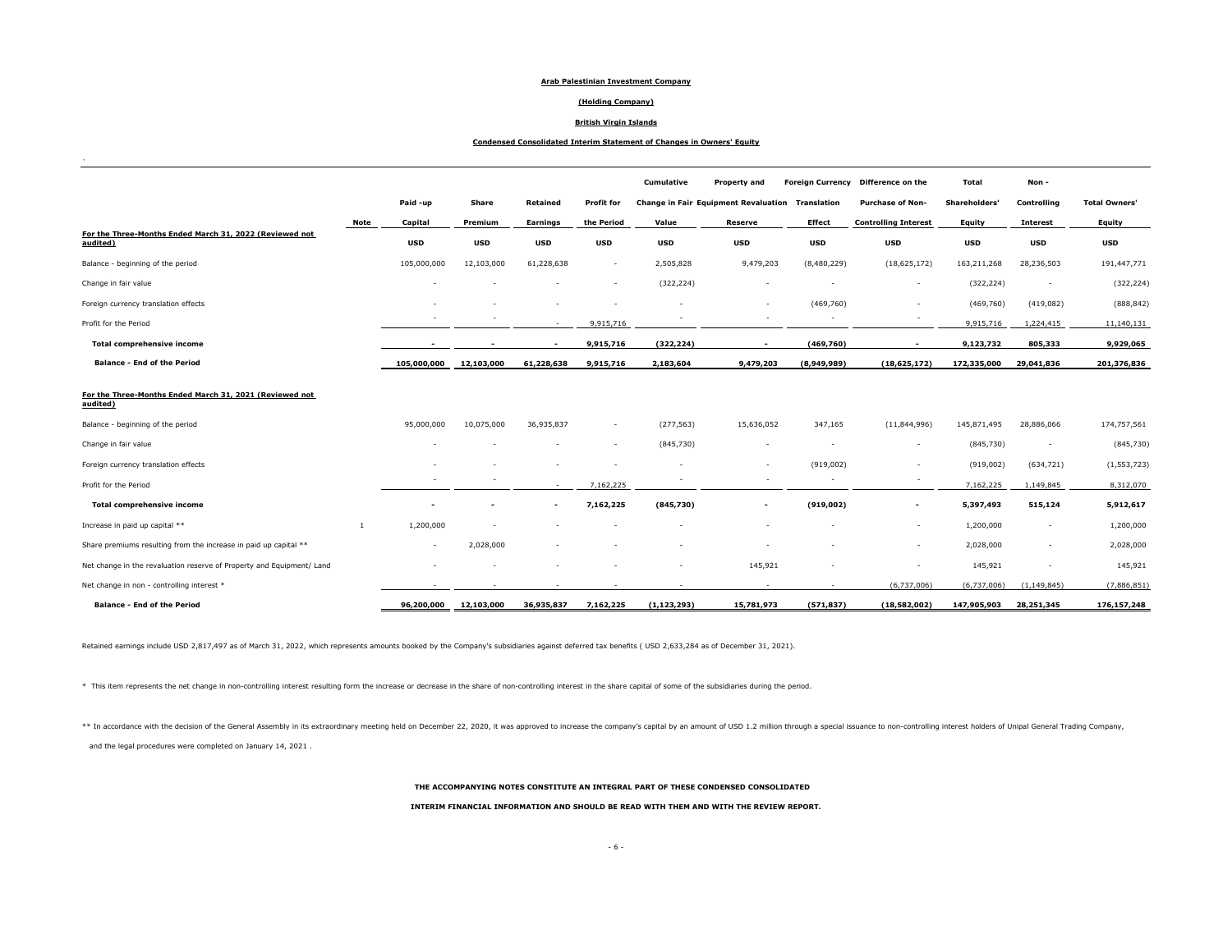#### **Arab Palestinian Investment Company**

#### **(Holding Company)**

#### **British Virgin Islands**

#### **Condensed Consolidated Interim Statement of Changes in Owners' Equity**

|                                                                       |                |                          |            |                          |                          | <b>Cumulative</b> | <b>Property and</b>                              |               | Foreign Currency Difference on the | Total         | Non-                     |                      |
|-----------------------------------------------------------------------|----------------|--------------------------|------------|--------------------------|--------------------------|-------------------|--------------------------------------------------|---------------|------------------------------------|---------------|--------------------------|----------------------|
|                                                                       |                | Paid -up                 | Share      | Retained                 | <b>Profit for</b>        |                   | Change in Fair Equipment Revaluation Translation |               | <b>Purchase of Non-</b>            | Shareholders' | Controlling              | <b>Total Owners'</b> |
|                                                                       | Note           | Capital                  | Premium    | Earnings                 | the Period               | Value             | <b>Reserve</b>                                   | <b>Effect</b> | <b>Controlling Interest</b>        | Equity        | <b>Interest</b>          | Equity               |
| For the Three-Months Ended March 31, 2022 (Reviewed not<br>audited)   |                | <b>USD</b>               | <b>USD</b> | <b>USD</b>               | <b>USD</b>               | <b>USD</b>        | <b>USD</b>                                       | <b>USD</b>    | <b>USD</b>                         | <b>USD</b>    | <b>USD</b>               | <b>USD</b>           |
| Balance - beginning of the period                                     |                | 105,000,000              | 12,103,000 | 61,228,638               |                          | 2,505,828         | 9,479,203                                        | (8,480,229)   | (18, 625, 172)                     | 163,211,268   | 28,236,503               | 191,447,771          |
| Change in fair value                                                  |                |                          |            |                          |                          | (322, 224)        |                                                  |               |                                    | (322, 224)    | $\overline{\phantom{a}}$ | (322, 224)           |
| Foreign currency translation effects                                  |                |                          |            |                          |                          |                   | $\overline{\phantom{a}}$                         | (469, 760)    | $\sim$                             | (469, 760)    | (419, 082)               | (888, 842)           |
| Profit for the Period                                                 |                |                          |            | $\overline{\phantom{a}}$ | 9,915,716                |                   | $\overline{\phantom{a}}$                         | $\sim$        |                                    | 9,915,716     | 1,224,415                | 11,140,131           |
| <b>Total comprehensive income</b>                                     |                |                          |            | $\overline{\phantom{a}}$ | 9,915,716                | (322, 224)        | $\overline{\phantom{a}}$                         | (469,760)     | $\overline{\phantom{a}}$           | 9,123,732     | 805,333                  | 9,929,065            |
| <b>Balance - End of the Period</b>                                    |                | 105,000,000              | 12,103,000 | 61,228,638               | 9,915,716                | 2,183,604         | 9,479,203                                        | (8,949,989)   | (18, 625, 172)                     | 172,335,000   | 29,041,836               | 201,376,836          |
| For the Three-Months Ended March 31, 2021 (Reviewed not<br>audited)   |                |                          |            |                          |                          |                   |                                                  |               |                                    |               |                          |                      |
| Balance - beginning of the period                                     |                | 95,000,000               | 10,075,000 | 36,935,837               |                          | (277, 563)        | 15,636,052                                       | 347,165       | (11,844,996)                       | 145,871,495   | 28,886,066               | 174,757,561          |
| Change in fair value                                                  |                |                          |            |                          | $\overline{\phantom{a}}$ | (845,730)         | $\overline{\phantom{a}}$                         |               | $\sim$                             | (845,730)     | $\overline{\phantom{a}}$ | (845, 730)           |
| Foreign currency translation effects                                  |                |                          |            |                          |                          |                   | $\overline{\phantom{a}}$                         | (919,002)     | $\sim$                             | (919,002)     | (634, 721)               | (1, 553, 723)        |
| Profit for the Period                                                 |                |                          |            | $\sim$                   | 7,162,225                |                   | $\overline{\phantom{a}}$                         | $\sim$        |                                    | 7,162,225     | 1,149,845                | 8,312,070            |
| <b>Total comprehensive income</b>                                     |                |                          |            | $\overline{\phantom{a}}$ | 7,162,225                | (845,730)         | $\overline{\phantom{a}}$                         | (919,002)     | $\overline{\phantom{a}}$           | 5,397,493     | 515,124                  | 5,912,617            |
| Increase in paid up capital **                                        | $\overline{1}$ | 1,200,000                |            |                          |                          |                   |                                                  |               |                                    | 1,200,000     | $\overline{\phantom{a}}$ | 1,200,000            |
| Share premiums resulting from the increase in paid up capital **      |                | $\overline{\phantom{a}}$ | 2,028,000  |                          |                          |                   |                                                  |               |                                    | 2,028,000     |                          | 2,028,000            |
| Net change in the revaluation reserve of Property and Equipment/ Land |                |                          |            |                          |                          |                   | 145,921                                          |               |                                    | 145,921       |                          | 145,921              |
| Net change in non - controlling interest *                            |                |                          |            |                          |                          |                   | $\overline{\phantom{a}}$                         |               | (6,737,006)                        | (6,737,006)   | (1, 149, 845)            | (7,886,851)          |
| <b>Balance - End of the Period</b>                                    |                | 96,200,000               | 12,103,000 | 36,935,837               | 7,162,225                | (1, 123, 293)     | 15,781,973                                       | (571, 837)    | (18,582,002)                       | 147,905,903   | 28,251,345               | 176,157,248          |

Retained earnings include USD 2,817,497 as of March 31, 2022, which represents amounts booked by the Company's subsidiaries against deferred tax benefits ( USD 2,633,284 as of December 31, 2021).

\* This item represents the net change in non-controlling interest resulting form the increase or decrease in the share of non-controlling interest in the share capital of some of the subsidiaries during the period.

\*\* In accordance with the decision of the General Assembly in its extraordinary meeting held on December 22, 2020, it was approved to increase the company's capital by an amount of USD 1.2 million through a special issuanc and the legal procedures were completed on January 14, 2021 .

**THE ACCOMPANYING NOTES CONSTITUTE AN INTEGRAL PART OF THESE CONDENSED CONSOLIDATED** 

**INTERIM FINANCIAL INFORMATION AND SHOULD BE READ WITH THEM AND WITH THE REVIEW REPORT.**